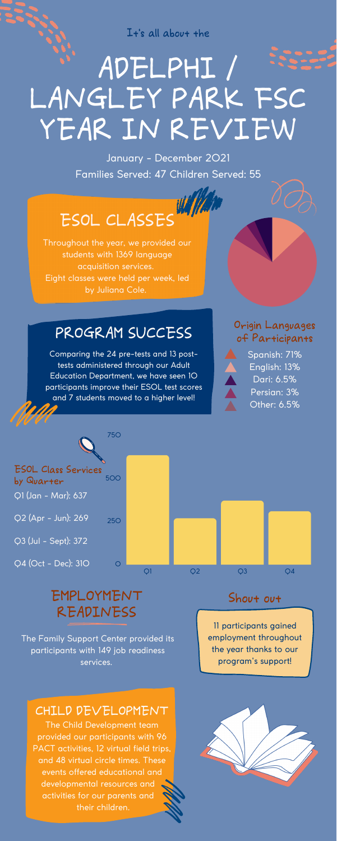750

500 ESOL Class Services by Quarter Q1 (Jan - Mar): 637



# ADELPHI / LANGLEY PARK FSC YEAR IN REVIEW

It's all about the

Throughout the year, we provided our students with 1369 language acquisition services. Eight classes were held per week, led by Juliana Cole.

Comparing the 24 pre-tests and 13 posttests administered through our Adult Education Department, we have seen 10 participants improve their ESOL test scores and 7 students moved to a higher level!

# PROGRAM SUCCESS

#### Origin Languages of Participants



January - December 2021 Families Served: 47 Children Served: 55

# ESOL CLASSES W/

11 participants gained employment throughout the year thanks to our program's support!

### Shout out

The Family Support Center provided its participants with 149 job readiness services.

# EMPLOYMENT READINESS

#### CHILD DEVELOPMENT

The Child Development team provided our participants with 96 PACT activities, 12 virtual field trips, and 48 virtual circle times. These events offered educational and developmental resources and activities for our parents and their children.